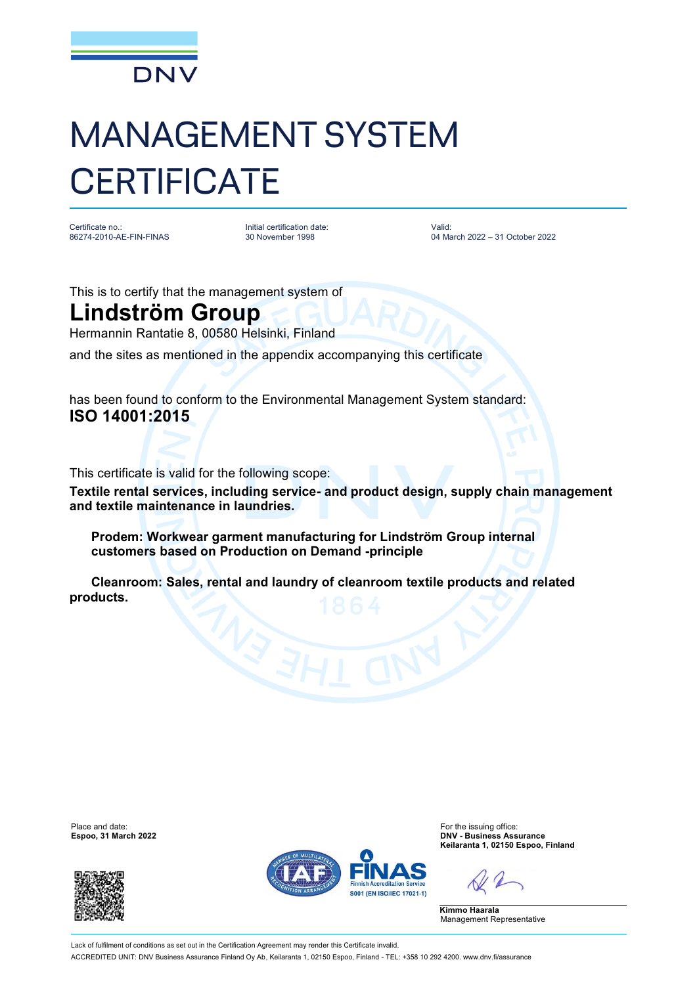

## MANAGEMENT SYSTEM **CERTIFICATE**

Certificate no.: 86274-2010-AE-FIN-FINAS Initial certification date: 30 November 1998

Valid: 04 March 2022 – 31 October 2022

This is to certify that the management system of

## **Lindström Group**

Hermannin Rantatie 8, 00580 Helsinki, Finland

and the sites as mentioned in the appendix accompanying this certificate

has been found to conform to the Environmental Management System standard: **ISO 14001:2015**

This certificate is valid for the following scope:

**Textile rental services, including service- and product design, supply chain management and textile maintenance in laundries.**

 **Prodem: Workwear garment manufacturing for Lindström Group internal customers based on Production on Demand -principle**

 **Cleanroom: Sales, rental and laundry of cleanroom textile products and related products.**

**Espoo, 31 March 2022** 





Place and date:<br>
For the issuing office:<br>
For the issuing office:<br> **Espoo.** 31 March 2022 **Keilaranta 1, 02150 Espoo, Finland**

**Kimmo Haarala** Management Representative

Lack of fulfilment of conditions as set out in the Certification Agreement may render this Certificate invalid ACCREDITED UNIT: DNV Business Assurance Finland Oy Ab, Keilaranta 1, 02150 Espoo, Finland - TEL: +358 10 292 4200. [www.dnv.fi/assurance](http://www.dnv.fi/assurance)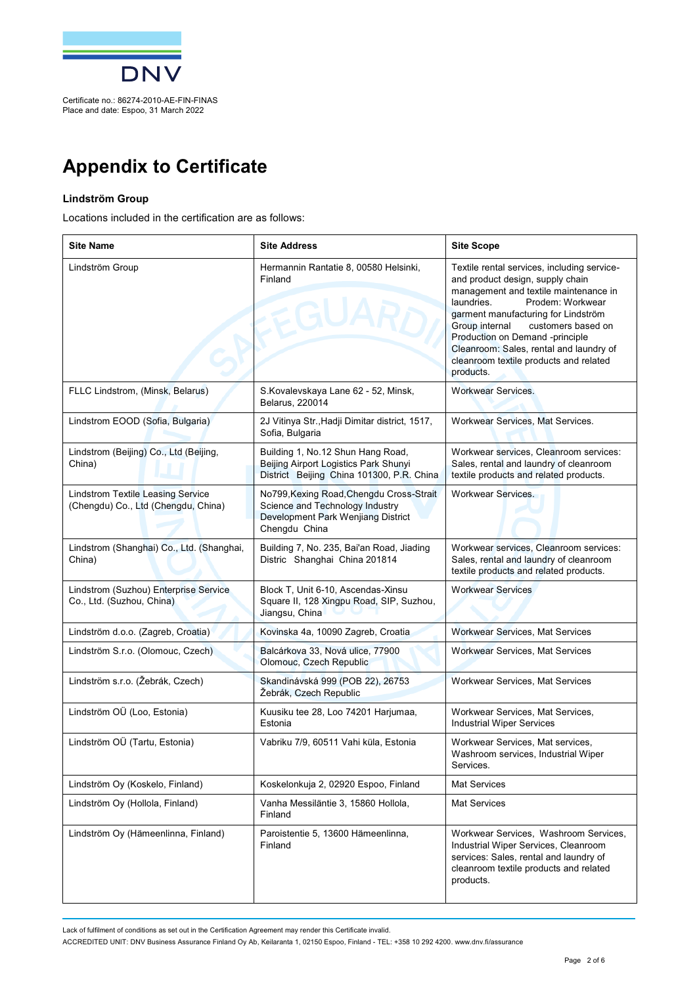

## **Appendix to Certificate**

## **Lindström Group**

Locations included in the certification are as follows:

| <b>Site Name</b>                                                                | <b>Site Address</b>                                                                                                                | <b>Site Scope</b>                                                                                                                                                                                                                                                                                                                                                              |
|---------------------------------------------------------------------------------|------------------------------------------------------------------------------------------------------------------------------------|--------------------------------------------------------------------------------------------------------------------------------------------------------------------------------------------------------------------------------------------------------------------------------------------------------------------------------------------------------------------------------|
| Lindström Group                                                                 | Hermannin Rantatie 8, 00580 Helsinki,<br>Finland<br><b>EGUA</b>                                                                    | Textile rental services, including service-<br>and product design, supply chain<br>management and textile maintenance in<br>laundries.<br>Prodem: Workwear<br>garment manufacturing for Lindström<br>customers based on<br>Group internal<br>Production on Demand -principle<br>Cleanroom: Sales, rental and laundry of<br>cleanroom textile products and related<br>products. |
| FLLC Lindstrom, (Minsk, Belarus)                                                | S.Kovalevskaya Lane 62 - 52, Minsk,<br>Belarus, 220014                                                                             | <b>Workwear Services.</b>                                                                                                                                                                                                                                                                                                                                                      |
| Lindstrom EOOD (Sofia, Bulgaria)                                                | 2J Vitinya Str., Hadji Dimitar district, 1517,<br>Sofia, Bulgaria                                                                  | Workwear Services, Mat Services.                                                                                                                                                                                                                                                                                                                                               |
| Lindstrom (Beijing) Co., Ltd (Beijing,<br>China)                                | Building 1, No.12 Shun Hang Road,<br>Beijing Airport Logistics Park Shunyi<br>District Beijing China 101300, P.R. China            | Workwear services, Cleanroom services:<br>Sales, rental and laundry of cleanroom<br>textile products and related products.                                                                                                                                                                                                                                                     |
| <b>Lindstrom Textile Leasing Service</b><br>(Chengdu) Co., Ltd (Chengdu, China) | No799, Kexing Road, Chengdu Cross-Strait<br>Science and Technology Industry<br>Development Park Wenjiang District<br>Chengdu China | <b>Workwear Services.</b>                                                                                                                                                                                                                                                                                                                                                      |
| Lindstrom (Shanghai) Co., Ltd. (Shanghai,<br>China)                             | Building 7, No. 235, Bai'an Road, Jiading<br>Distric Shanghai China 201814                                                         | Workwear services, Cleanroom services:<br>Sales, rental and laundry of cleanroom<br>textile products and related products.                                                                                                                                                                                                                                                     |
| Lindstrom (Suzhou) Enterprise Service<br>Co., Ltd. (Suzhou, China)              | Block T, Unit 6-10, Ascendas-Xinsu<br>Square II, 128 Xingpu Road, SIP, Suzhou,<br>Jiangsu, China                                   | <b>Workwear Services</b>                                                                                                                                                                                                                                                                                                                                                       |
| Lindström d.o.o. (Zagreb, Croatia)                                              | Kovinska 4a, 10090 Zagreb, Croatia                                                                                                 | <b>Workwear Services, Mat Services</b>                                                                                                                                                                                                                                                                                                                                         |
| Lindström S.r.o. (Olomouc, Czech)                                               | Balcárkova 33, Nová ulice, 77900<br>Olomouc, Czech Republic                                                                        | Workwear Services, Mat Services                                                                                                                                                                                                                                                                                                                                                |
| Lindström s.r.o. (Žebrák, Czech)                                                | Skandinávská 999 (POB 22), 26753<br>Žebrák, Czech Republic                                                                         | Workwear Services, Mat Services                                                                                                                                                                                                                                                                                                                                                |
| Lindström OÜ (Loo, Estonia)                                                     | Kuusiku tee 28, Loo 74201 Harjumaa,<br>Estonia                                                                                     | Workwear Services, Mat Services,<br><b>Industrial Wiper Services</b>                                                                                                                                                                                                                                                                                                           |
| Lindström OÜ (Tartu, Estonia)                                                   | Vabriku 7/9, 60511 Vahi küla, Estonia                                                                                              | Workwear Services, Mat services,<br>Washroom services, Industrial Wiper<br>Services.                                                                                                                                                                                                                                                                                           |
| Lindström Oy (Koskelo, Finland)                                                 | Koskelonkuja 2, 02920 Espoo, Finland                                                                                               | <b>Mat Services</b>                                                                                                                                                                                                                                                                                                                                                            |
| Lindström Oy (Hollola, Finland)                                                 | Vanha Messiläntie 3, 15860 Hollola,<br>Finland                                                                                     | <b>Mat Services</b>                                                                                                                                                                                                                                                                                                                                                            |
| Lindström Oy (Hämeenlinna, Finland)                                             | Paroistentie 5, 13600 Hämeenlinna,<br>Finland                                                                                      | Workwear Services, Washroom Services,<br>Industrial Wiper Services, Cleanroom<br>services: Sales, rental and laundry of<br>cleanroom textile products and related<br>products.                                                                                                                                                                                                 |

Lack of fulfilment of conditions as set out in the Certification Agreement may render this Certificate invalid.

ACCREDITED UNIT: DNV Business Assurance Finland Oy Ab, Keilaranta 1, 02150 Espoo, Finland - TEL: +358 10 292 4200. [www.dnv.fi/assurance](http://www.dnv.fi/assurance)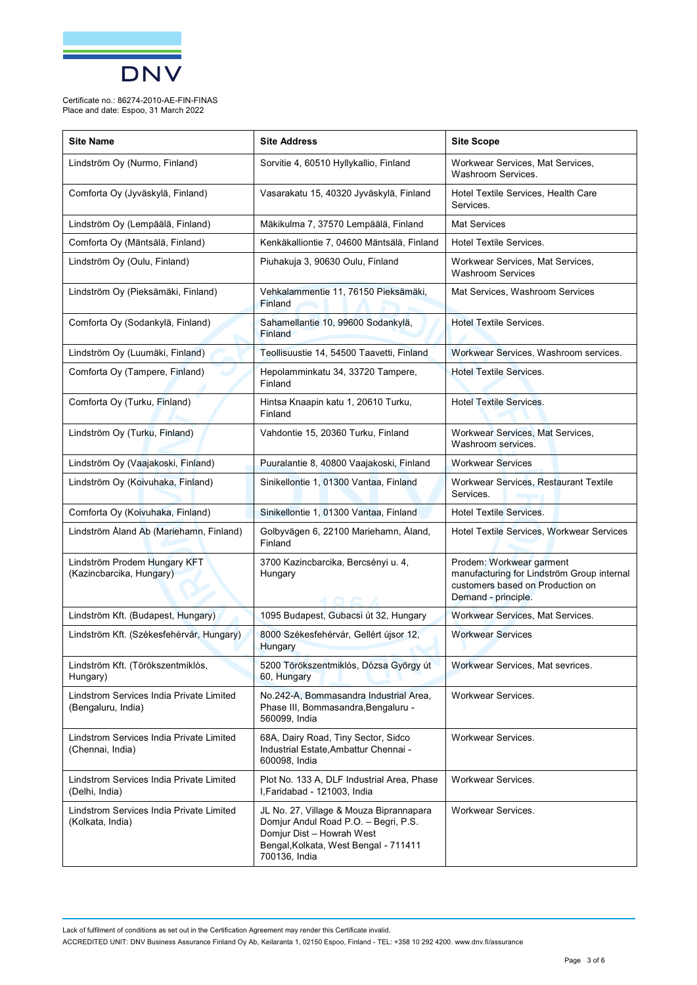

| <b>Site Name</b>                                               | <b>Site Address</b>                                                                                                                                                    | <b>Site Scope</b>                                                                                                                 |
|----------------------------------------------------------------|------------------------------------------------------------------------------------------------------------------------------------------------------------------------|-----------------------------------------------------------------------------------------------------------------------------------|
| Lindström Oy (Nurmo, Finland)                                  | Sorvitie 4, 60510 Hyllykallio, Finland                                                                                                                                 | Workwear Services, Mat Services,<br>Washroom Services.                                                                            |
| Comforta Oy (Jyväskylä, Finland)                               | Vasarakatu 15, 40320 Jyväskylä, Finland                                                                                                                                | Hotel Textile Services, Health Care<br>Services.                                                                                  |
| Lindström Oy (Lempäälä, Finland)                               | Mäkikulma 7, 37570 Lempäälä, Finland                                                                                                                                   | <b>Mat Services</b>                                                                                                               |
| Comforta Oy (Mäntsälä, Finland)                                | Kenkäkalliontie 7, 04600 Mäntsälä, Finland                                                                                                                             | Hotel Textile Services.                                                                                                           |
| Lindström Oy (Oulu, Finland)                                   | Piuhakuja 3, 90630 Oulu, Finland                                                                                                                                       | Workwear Services, Mat Services,<br><b>Washroom Services</b>                                                                      |
| Lindström Oy (Pieksämäki, Finland)                             | Vehkalammentie 11, 76150 Pieksämäki,<br>Finland                                                                                                                        | Mat Services, Washroom Services                                                                                                   |
| Comforta Oy (Sodankylä, Finland)                               | Sahamellantie 10, 99600 Sodankylä,<br>Finland                                                                                                                          | <b>Hotel Textile Services.</b>                                                                                                    |
| Lindström Oy (Luumäki, Finland)                                | Teollisuustie 14, 54500 Taavetti, Finland                                                                                                                              | Workwear Services, Washroom services.                                                                                             |
| Comforta Oy (Tampere, Finland)                                 | Hepolamminkatu 34, 33720 Tampere,<br>Finland                                                                                                                           | <b>Hotel Textile Services.</b>                                                                                                    |
| Comforta Oy (Turku, Finland)                                   | Hintsa Knaapin katu 1, 20610 Turku,<br>Finland                                                                                                                         | <b>Hotel Textile Services.</b>                                                                                                    |
| Lindström Oy (Turku, Finland)                                  | Vahdontie 15, 20360 Turku, Finland                                                                                                                                     | Workwear Services, Mat Services,<br>Washroom services.                                                                            |
| Lindström Oy (Vaajakoski, Finland)                             | Puuralantie 8, 40800 Vaajakoski, Finland                                                                                                                               | <b>Workwear Services</b>                                                                                                          |
| Lindström Oy (Koivuhaka, Finland)                              | Sinikellontie 1, 01300 Vantaa, Finland                                                                                                                                 | Workwear Services, Restaurant Textile<br>Services.                                                                                |
| Comforta Oy (Koivuhaka, Finland)                               | Sinikellontie 1, 01300 Vantaa, Finland                                                                                                                                 | <b>Hotel Textile Services.</b>                                                                                                    |
| Lindström Åland Ab (Mariehamn, Finland)                        | Golbyvägen 6, 22100 Mariehamn, Åland,<br>Finland                                                                                                                       | Hotel Textile Services, Workwear Services                                                                                         |
| Lindström Prodem Hungary KFT<br>(Kazincbarcika, Hungary)       | 3700 Kazincbarcika, Bercsényi u. 4,<br>Hungary                                                                                                                         | Prodem: Workwear garment<br>manufacturing for Lindström Group internal<br>customers based on Production on<br>Demand - principle. |
| Lindström Kft. (Budapest, Hungary)                             | 1095 Budapest, Gubacsi út 32, Hungary                                                                                                                                  | Workwear Services, Mat Services.                                                                                                  |
| Lindström Kft. (Székesfehérvár, Hungary)                       | 8000 Székesfehérvár, Gellért újsor 12,<br>Hungary                                                                                                                      | <b>Workwear Services</b>                                                                                                          |
| Lindström Kft. (Törökszentmiklós,<br>Hungary)                  | 5200 Törökszentmiklós, Dózsa György út<br>60, Hungary                                                                                                                  | Workwear Services, Mat sevrices.                                                                                                  |
| Lindstrom Services India Private Limited<br>(Bengaluru, India) | No.242-A, Bommasandra Industrial Area,<br>Phase III, Bommasandra, Bengaluru -<br>560099, India                                                                         | Workwear Services.                                                                                                                |
| Lindstrom Services India Private Limited<br>(Chennai, India)   | 68A, Dairy Road, Tiny Sector, Sidco<br>Industrial Estate, Ambattur Chennai -<br>600098, India                                                                          | Workwear Services.                                                                                                                |
| Lindstrom Services India Private Limited<br>(Delhi, India)     | Plot No. 133 A, DLF Industrial Area, Phase<br>I, Faridabad - 121003, India                                                                                             | Workwear Services.                                                                                                                |
| Lindstrom Services India Private Limited<br>(Kolkata, India)   | JL No. 27, Village & Mouza Biprannapara<br>Domjur Andul Road P.O. - Begri, P.S.<br>Domjur Dist - Howrah West<br>Bengal, Kolkata, West Bengal - 711411<br>700136, India | Workwear Services.                                                                                                                |

Lack of fulfilment of conditions as set out in the Certification Agreement may render this Certificate invalid. ACCREDITED UNIT: DNV Business Assurance Finland Oy Ab, Keilaranta 1, 02150 Espoo, Finland - TEL: +358 10 292 4200. [www.dnv.fi/assurance](http://www.dnv.fi/assurance)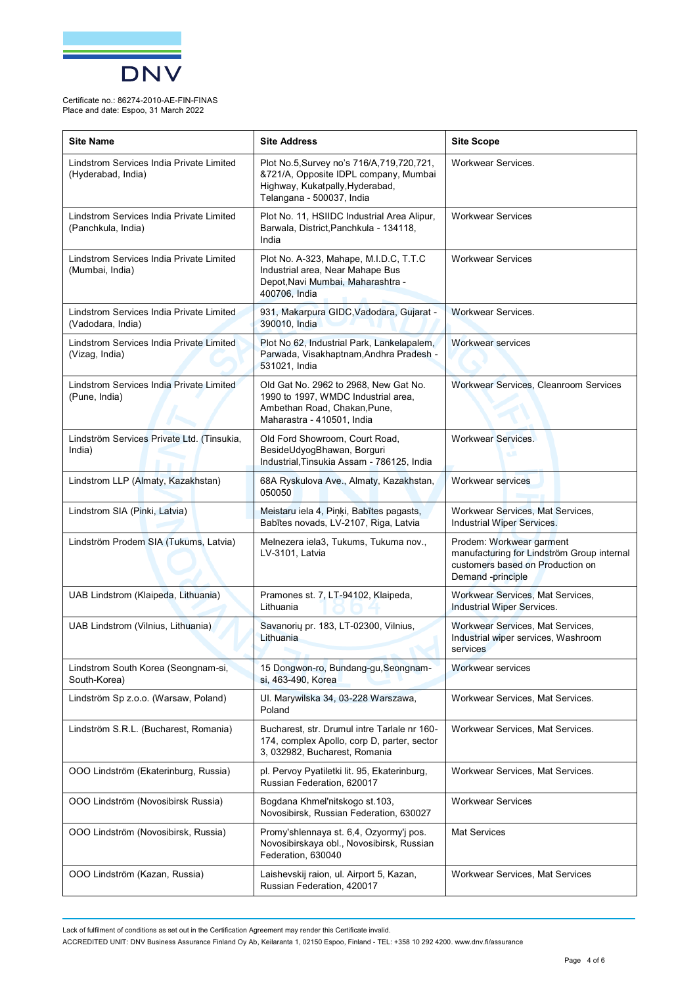

| <b>Site Name</b>                                               | <b>Site Address</b>                                                                                                                                   | <b>Site Scope</b>                                                                                                               |
|----------------------------------------------------------------|-------------------------------------------------------------------------------------------------------------------------------------------------------|---------------------------------------------------------------------------------------------------------------------------------|
| Lindstrom Services India Private Limited<br>(Hyderabad, India) | Plot No.5, Survey no's 716/A, 719, 720, 721,<br>&721/A, Opposite IDPL company, Mumbai<br>Highway, Kukatpally, Hyderabad,<br>Telangana - 500037, India | Workwear Services.                                                                                                              |
| Lindstrom Services India Private Limited<br>(Panchkula, India) | Plot No. 11, HSIIDC Industrial Area Alipur,<br>Barwala, District, Panchkula - 134118,<br>India                                                        | <b>Workwear Services</b>                                                                                                        |
| Lindstrom Services India Private Limited<br>(Mumbai, India)    | Plot No. A-323, Mahape, M.I.D.C, T.T.C<br>Industrial area, Near Mahape Bus<br>Depot, Navi Mumbai, Maharashtra -<br>400706, India                      | <b>Workwear Services</b>                                                                                                        |
| Lindstrom Services India Private Limited<br>(Vadodara, India)  | 931, Makarpura GIDC, Vadodara, Gujarat -<br>390010, India                                                                                             | <b>Workwear Services.</b>                                                                                                       |
| Lindstrom Services India Private Limited<br>(Vizag, India)     | Plot No 62, Industrial Park, Lankelapalem,<br>Parwada, Visakhaptnam, Andhra Pradesh -<br>531021, India                                                | <b>Workwear services</b>                                                                                                        |
| Lindstrom Services India Private Limited<br>(Pune, India)      | Old Gat No. 2962 to 2968, New Gat No.<br>1990 to 1997, WMDC Industrial area,<br>Ambethan Road, Chakan, Pune,<br>Maharastra - 410501, India            | Workwear Services, Cleanroom Services                                                                                           |
| Lindström Services Private Ltd. (Tinsukia,<br>India)           | Old Ford Showroom, Court Road,<br>BesideUdyogBhawan, Borguri<br>Industrial, Tinsukia Assam - 786125, India                                            | <b>Workwear Services.</b>                                                                                                       |
| Lindstrom LLP (Almaty, Kazakhstan)                             | 68A Ryskulova Ave., Almaty, Kazakhstan,<br>050050                                                                                                     | <b>Workwear services</b>                                                                                                        |
| Lindstrom SIA (Pinki, Latvia)                                  | Meistaru iela 4, Piņķi, Babītes pagasts,<br>Babītes novads, LV-2107, Riga, Latvia                                                                     | Workwear Services, Mat Services,<br>Industrial Wiper Services.                                                                  |
| Lindström Prodem SIA (Tukums, Latvia)                          | Melnezera iela3, Tukums, Tukuma nov.,<br>LV-3101, Latvia                                                                                              | Prodem: Workwear garment<br>manufacturing for Lindström Group internal<br>customers based on Production on<br>Demand -principle |
| UAB Lindstrom (Klaipeda, Lithuania)                            | Pramones st. 7, LT-94102, Klaipeda,<br>Lithuania                                                                                                      | Workwear Services, Mat Services,<br>Industrial Wiper Services.                                                                  |
| UAB Lindstrom (Vilnius, Lithuania)                             | Savanorių pr. 183, LT-02300, Vilnius,<br>Lithuania                                                                                                    | Workwear Services, Mat Services,<br>Industrial wiper services, Washroom<br>services                                             |
| Lindstrom South Korea (Seongnam-si,<br>South-Korea)            | 15 Dongwon-ro, Bundang-gu, Seongnam-<br>si, 463-490. Korea                                                                                            | Workwear services                                                                                                               |
| Lindström Sp z.o.o. (Warsaw, Poland)                           | UI. Marywilska 34, 03-228 Warszawa,<br>Poland                                                                                                         | Workwear Services, Mat Services.                                                                                                |
| Lindström S.R.L. (Bucharest, Romania)                          | Bucharest, str. Drumul intre Tarlale nr 160-<br>174, complex Apollo, corp D, parter, sector<br>3, 032982, Bucharest, Romania                          | Workwear Services, Mat Services.                                                                                                |
| 000 Lindström (Ekaterinburg, Russia)                           | pl. Pervoy Pyatiletki lit. 95, Ekaterinburg,<br>Russian Federation, 620017                                                                            | Workwear Services, Mat Services.                                                                                                |
| OOO Lindström (Novosibirsk Russia)                             | Bogdana Khmel'nitskogo st.103,<br>Novosibirsk, Russian Federation, 630027                                                                             | <b>Workwear Services</b>                                                                                                        |
| OOO Lindström (Novosibirsk, Russia)                            | Promy'shlennaya st. 6,4, Ozyormy'j pos.<br>Novosibirskaya obl., Novosibirsk, Russian<br>Federation, 630040                                            | <b>Mat Services</b>                                                                                                             |
| OOO Lindström (Kazan, Russia)                                  | Laishevskij raion, ul. Airport 5, Kazan,<br>Russian Federation, 420017                                                                                | Workwear Services, Mat Services                                                                                                 |

Lack of fulfilment of conditions as set out in the Certification Agreement may render this Certificate invalid.

ACCREDITED UNIT: DNV Business Assurance Finland Oy Ab, Keilaranta 1, 02150 Espoo, Finland - TEL: +358 10 292 4200. [www.dnv.fi/assurance](http://www.dnv.fi/assurance)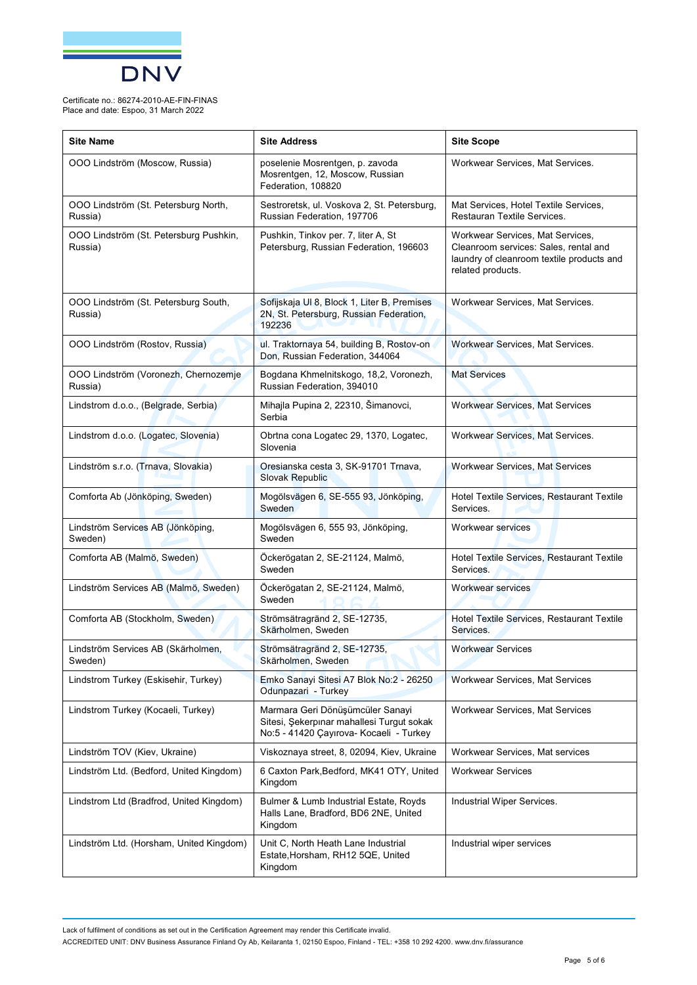

| <b>Site Name</b>                                  | <b>Site Address</b>                                                                                                      | <b>Site Scope</b>                                                                                                                           |
|---------------------------------------------------|--------------------------------------------------------------------------------------------------------------------------|---------------------------------------------------------------------------------------------------------------------------------------------|
| OOO Lindström (Moscow, Russia)                    | poselenie Mosrentgen, p. zavoda<br>Mosrentgen, 12, Moscow, Russian<br>Federation, 108820                                 | Workwear Services, Mat Services.                                                                                                            |
| OOO Lindström (St. Petersburg North,<br>Russia)   | Sestroretsk, ul. Voskova 2, St. Petersburg,<br>Russian Federation, 197706                                                | Mat Services, Hotel Textile Services,<br>Restauran Textile Services.                                                                        |
| OOO Lindström (St. Petersburg Pushkin,<br>Russia) | Pushkin, Tinkov per. 7, liter A, St<br>Petersburg, Russian Federation, 196603                                            | Workwear Services, Mat Services,<br>Cleanroom services: Sales, rental and<br>laundry of cleanroom textile products and<br>related products. |
| OOO Lindström (St. Petersburg South,<br>Russia)   | Sofijskaja UI 8, Block 1, Liter B, Premises<br>2N, St. Petersburg, Russian Federation,<br>192236                         | Workwear Services, Mat Services.                                                                                                            |
| OOO Lindström (Rostov, Russia)                    | ul. Traktornaya 54, building B, Rostov-on<br>Don, Russian Federation, 344064                                             | Workwear Services, Mat Services.                                                                                                            |
| OOO Lindström (Voronezh, Chernozemje<br>Russia)   | Bogdana Khmelnitskogo, 18,2, Voronezh,<br>Russian Federation, 394010                                                     | <b>Mat Services</b>                                                                                                                         |
| Lindstrom d.o.o., (Belgrade, Serbia)              | Mihajla Pupina 2, 22310, Šimanovci,<br>Serbia                                                                            | <b>Workwear Services, Mat Services</b>                                                                                                      |
| Lindstrom d.o.o. (Logatec, Slovenia)              | Obrtna cona Logatec 29, 1370, Logatec,<br>Slovenia                                                                       | Workwear Services, Mat Services.                                                                                                            |
| Lindström s.r.o. (Trnava, Slovakia)               | Oresianska cesta 3, SK-91701 Trnava,<br><b>Slovak Republic</b>                                                           | <b>Workwear Services, Mat Services</b>                                                                                                      |
| Comforta Ab (Jönköping, Sweden)                   | Mogölsvägen 6, SE-555 93, Jönköping,<br>Sweden                                                                           | Hotel Textile Services, Restaurant Textile<br>Services.                                                                                     |
| Lindström Services AB (Jönköping,<br>Sweden)      | Mogölsvägen 6, 555 93, Jönköping,<br>Sweden                                                                              | <b>Workwear services</b>                                                                                                                    |
| Comforta AB (Malmö, Sweden)                       | Öckerögatan 2, SE-21124, Malmö,<br>Sweden                                                                                | Hotel Textile Services, Restaurant Textile<br>Services.                                                                                     |
| Lindström Services AB (Malmö, Sweden)             | Öckerögatan 2, SE-21124, Malmö,<br>Sweden                                                                                | Workwear services                                                                                                                           |
| Comforta AB (Stockholm, Sweden)                   | Strömsätragränd 2, SE-12735,<br>Skärholmen, Sweden                                                                       | Hotel Textile Services, Restaurant Textile<br>Services.                                                                                     |
| Lindström Services AB (Skärholmen,<br>Sweden)     | Strömsätragränd 2, SE-12735,<br>Skärholmen, Sweden                                                                       | <b>Workwear Services</b>                                                                                                                    |
| Lindstrom Turkey (Eskisehir, Turkey)              | Emko Sanayi Sitesi A7 Blok No:2 - 26250<br>Odunpazari - Turkey                                                           | Workwear Services, Mat Services                                                                                                             |
| Lindstrom Turkey (Kocaeli, Turkey)                | Marmara Geri Dönüşümcüler Sanayi<br>Sitesi, Şekerpınar mahallesi Turgut sokak<br>No:5 - 41420 Çayırova- Kocaeli - Turkey | Workwear Services, Mat Services                                                                                                             |
| Lindström TOV (Kiev, Ukraine)                     | Viskoznaya street, 8, 02094, Kiev, Ukraine                                                                               | Workwear Services, Mat services                                                                                                             |
| Lindström Ltd. (Bedford, United Kingdom)          | 6 Caxton Park, Bedford, MK41 OTY, United<br>Kingdom                                                                      | <b>Workwear Services</b>                                                                                                                    |
| Lindstrom Ltd (Bradfrod, United Kingdom)          | Bulmer & Lumb Industrial Estate, Royds<br>Halls Lane, Bradford, BD6 2NE, United<br>Kingdom                               | Industrial Wiper Services.                                                                                                                  |
| Lindström Ltd. (Horsham, United Kingdom)          | Unit C, North Heath Lane Industrial<br>Estate, Horsham, RH12 5QE, United<br>Kingdom                                      | Industrial wiper services                                                                                                                   |

Lack of fulfilment of conditions as set out in the Certification Agreement may render this Certificate invalid. ACCREDITED UNIT: DNV Business Assurance Finland Oy Ab, Keilaranta 1, 02150 Espoo, Finland - TEL: +358 10 292 4200. [www.dnv.fi/assurance](http://www.dnv.fi/assurance)